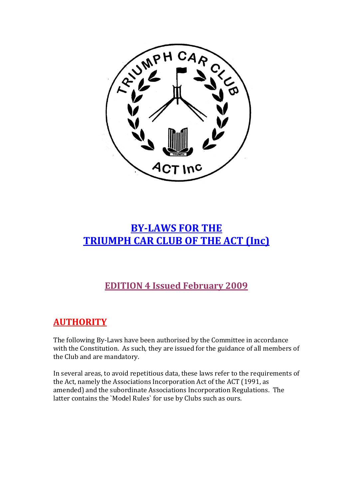

# **BY-LAWS FOR THE TRIUMPH CAR CLUB OF THE ACT (Inc)**

# **EDITION 4 Issued February 2009**

# **AUTHORITY**

The following By-Laws have been authorised by the Committee in accordance with the Constitution. As such, they are issued for the guidance of all members of the Club and are mandatory.

In several areas, to avoid repetitious data, these laws refer to the requirements of the Act, namely the Associations Incorporation Act of the ACT (1991, as amended) and the subordinate Associations Incorporation Regulations. The latter contains the `Model Rules` for use by Clubs such as ours.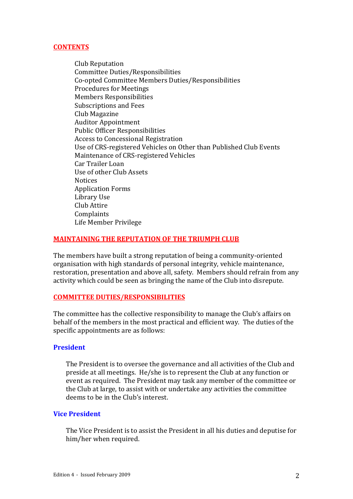# **CONTENTS**

Club Reputation Committee Duties/Responsibilities Co-opted Committee Members Duties/Responsibilities Procedures for Meetings Members Responsibilities Subscriptions and Fees Club Magazine Auditor Appointment Public Officer Responsibilities Access to Concessional Registration Use of CRS-registered Vehicles on Other than Published Club Events Maintenance of CRS-registered Vehicles Car Trailer Loan Use of other Club Assets Notices Application Forms Library Use Club Attire Complaints Life Member Privilege

# **MAINTAINING THE REPUTATION OF THE TRIUMPH CLUB**

The members have built a strong reputation of being a community-oriented organisation with high standards of personal integrity, vehicle maintenance, restoration, presentation and above all, safety. Members should refrain from any activity which could be seen as bringing the name of the Club into disrepute.

## **COMMITTEE DUTIES/RESPONSIBILITIES**

The committee has the collective responsibility to manage the Club's affairs on behalf of the members in the most practical and efficient way. The duties of the specific appointments are as follows:

## **President**

The President is to oversee the governance and all activities of the Club and preside at all meetings. He/she is to represent the Club at any function or event as required. The President may task any member of the committee or the Club at large, to assist with or undertake any activities the committee deems to be in the Club's interest.

# **Vice President**

The Vice President is to assist the President in all his duties and deputise for him/her when required.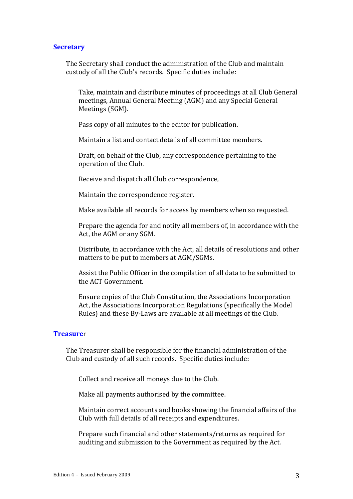#### **Secretary**

The Secretary shall conduct the administration of the Club and maintain custody of all the Club's records. Specific duties include:

Take, maintain and distribute minutes of proceedings at all Club General meetings, Annual General Meeting (AGM) and any Special General Meetings (SGM).

Pass copy of all minutes to the editor for publication.

Maintain a list and contact details of all committee members.

Draft, on behalf of the Club, any correspondence pertaining to the operation of the Club.

Receive and dispatch all Club correspondence,

Maintain the correspondence register.

Make available all records for access by members when so requested.

Prepare the agenda for and notify all members of, in accordance with the Act, the AGM or any SGM.

Distribute, in accordance with the Act, all details of resolutions and other matters to be put to members at AGM/SGMs.

Assist the Public Officer in the compilation of all data to be submitted to the ACT Government.

Ensure copies of the Club Constitution, the Associations Incorporation Act, the Associations Incorporation Regulations (specifically the Model Rules) and these By-Laws are available at all meetings of the Club.

## **Treasure**r

The Treasurer shall be responsible for the financial administration of the Club and custody of all such records. Specific duties include:

Collect and receive all moneys due to the Club.

Make all payments authorised by the committee.

Maintain correct accounts and books showing the financial affairs of the Club with full details of all receipts and expenditures.

Prepare such financial and other statements/returns as required for auditing and submission to the Government as required by the Act.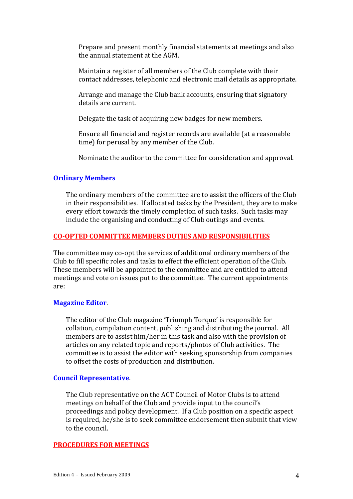Prepare and present monthly financial statements at meetings and also the annual statement at the AGM.

Maintain a register of all members of the Club complete with their contact addresses, telephonic and electronic mail details as appropriate.

Arrange and manage the Club bank accounts, ensuring that signatory details are current.

Delegate the task of acquiring new badges for new members.

Ensure all financial and register records are available (at a reasonable time) for perusal by any member of the Club.

Nominate the auditor to the committee for consideration and approval.

## **Ordinary Members**

The ordinary members of the committee are to assist the officers of the Club in their responsibilities. If allocated tasks by the President, they are to make every effort towards the timely completion of such tasks. Such tasks may include the organising and conducting of Club outings and events.

#### **CO-OPTED COMMITTEE MEMBERS DUTIES AND RESPONSIBILITIES**

The committee may co-opt the services of additional ordinary members of the Club to fill specific roles and tasks to effect the efficient operation of the Club. These members will be appointed to the committee and are entitled to attend meetings and vote on issues put to the committee. The current appointments are:

#### **Magazine Editor**.

The editor of the Club magazine 'Triumph Torque' is responsible for collation, compilation content, publishing and distributing the journal. All members are to assist him/her in this task and also with the provision of articles on any related topic and reports/photos of Club activities. The committee is to assist the editor with seeking sponsorship from companies to offset the costs of production and distribution.

#### **Council Representative**.

The Club representative on the ACT Council of Motor Clubs is to attend meetings on behalf of the Club and provide input to the council's proceedings and policy development. If a Club position on a specific aspect is required, he/she is to seek committee endorsement then submit that view to the council.

## **PROCEDURES FOR MEETINGS**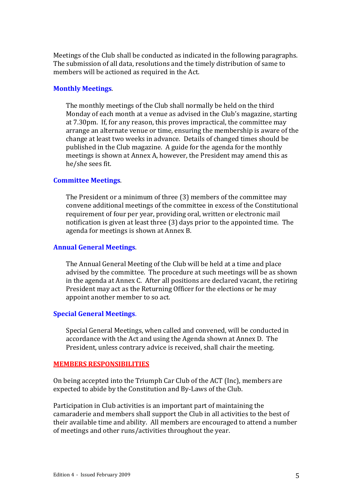Meetings of the Club shall be conducted as indicated in the following paragraphs. The submission of all data, resolutions and the timely distribution of same to members will be actioned as required in the Act.

#### **Monthly Meetings**.

The monthly meetings of the Club shall normally be held on the third Monday of each month at a venue as advised in the Club's magazine, starting at 7.30pm. If, for any reason, this proves impractical, the committee may arrange an alternate venue or time, ensuring the membership is aware of the change at least two weeks in advance. Details of changed times should be published in the Club magazine. A guide for the agenda for the monthly meetings is shown at Annex A, however, the President may amend this as he/she sees fit.

#### **Committee Meetings**.

The President or a minimum of three (3) members of the committee may convene additional meetings of the committee in excess of the Constitutional requirement of four per year, providing oral, written or electronic mail notification is given at least three (3) days prior to the appointed time. The agenda for meetings is shown at Annex B.

#### **Annual General Meetings**.

The Annual General Meeting of the Club will be held at a time and place advised by the committee. The procedure at such meetings will be as shown in the agenda at Annex C. After all positions are declared vacant, the retiring President may act as the Returning Officer for the elections or he may appoint another member to so act.

#### **Special General Meetings**.

Special General Meetings, when called and convened, will be conducted in accordance with the Act and using the Agenda shown at Annex D. The President, unless contrary advice is received, shall chair the meeting.

#### **MEMBERS RESPONSIBILITIES**

On being accepted into the Triumph Car Club of the ACT (Inc), members are expected to abide by the Constitution and By-Laws of the Club.

Participation in Club activities is an important part of maintaining the camaraderie and members shall support the Club in all activities to the best of their available time and ability. All members are encouraged to attend a number of meetings and other runs/activities throughout the year.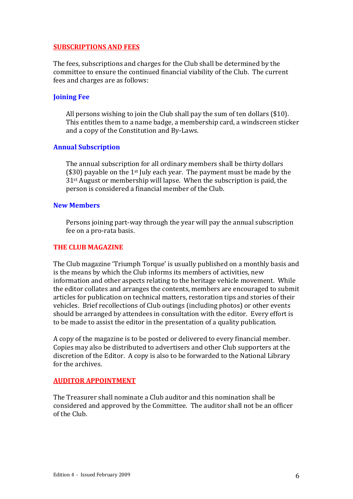## **SUBSCRIPTIONS AND FEES**

The fees, subscriptions and charges for the Club shall be determined by the committee to ensure the continued financial viability of the Club. The current fees and charges are as follows:

## **Joining Fee**

All persons wishing to join the Club shall pay the sum of ten dollars (\$10). This entitles them to a name badge, a membership card, a windscreen sticker and a copy of the Constitution and By-Laws.

## **Annual Subscription**

The annual subscription for all ordinary members shall be thirty dollars ( $$30$ ) payable on the 1<sup>st</sup> July each year. The payment must be made by the 31st August or membership will lapse. When the subscription is paid, the person is considered a financial member of the Club.

## **New Members**

Persons joining part-way through the year will pay the annual subscription fee on a pro-rata basis.

## **THE CLUB MAGAZINE**

The Club magazine 'Triumph Torque' is usually published on a monthly basis and is the means by which the Club informs its members of activities, new information and other aspects relating to the heritage vehicle movement. While the editor collates and arranges the contents, members are encouraged to submit articles for publication on technical matters, restoration tips and stories of their vehicles. Brief recollections of Club outings (including photos) or other events should be arranged by attendees in consultation with the editor. Every effort is to be made to assist the editor in the presentation of a quality publication.

A copy of the magazine is to be posted or delivered to every financial member. Copies may also be distributed to advertisers and other Club supporters at the discretion of the Editor. A copy is also to be forwarded to the National Library for the archives.

## **AUDITOR APPOINTMENT**

The Treasurer shall nominate a Club auditor and this nomination shall be considered and approved by the Committee. The auditor shall not be an officer of the Club.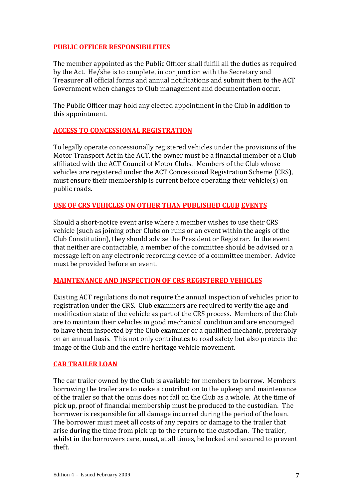# **PUBLIC OFFICER RESPONSIBILITIES**

The member appointed as the Public Officer shall fulfill all the duties as required by the Act. He/she is to complete, in conjunction with the Secretary and Treasurer all official forms and annual notifications and submit them to the ACT Government when changes to Club management and documentation occur.

The Public Officer may hold any elected appointment in the Club in addition to this appointment.

# **ACCESS TO CONCESSIONAL REGISTRATION**

To legally operate concessionally registered vehicles under the provisions of the Motor Transport Act in the ACT, the owner must be a financial member of a Club affiliated with the ACT Council of Motor Clubs. Members of the Club whose vehicles are registered under the ACT Concessional Registration Scheme (CRS), must ensure their membership is current before operating their vehicle(s) on public roads.

# **USE OF CRS VEHICLES ON OTHER THAN PUBLISHED CLUB EVENTS**

Should a short-notice event arise where a member wishes to use their CRS vehicle (such as joining other Clubs on runs or an event within the aegis of the Club Constitution), they should advise the President or Registrar. In the event that neither are contactable, a member of the committee should be advised or a message left on any electronic recording device of a committee member. Advice must be provided before an event.

# **MAINTENANCE AND INSPECTION OF CRS REGISTERED VEHICLES**

Existing ACT regulations do not require the annual inspection of vehicles prior to registration under the CRS. Club examiners are required to verify the age and modification state of the vehicle as part of the CRS process. Members of the Club are to maintain their vehicles in good mechanical condition and are encouraged to have them inspected by the Club examiner or a qualified mechanic, preferably on an annual basis. This not only contributes to road safety but also protects the image of the Club and the entire heritage vehicle movement.

# **CAR TRAILER LOAN**

The car trailer owned by the Club is available for members to borrow. Members borrowing the trailer are to make a contribution to the upkeep and maintenance of the trailer so that the onus does not fall on the Club as a whole. At the time of pick up, proof of financial membership must be produced to the custodian. The borrower is responsible for all damage incurred during the period of the loan. The borrower must meet all costs of any repairs or damage to the trailer that arise during the time from pick up to the return to the custodian. The trailer, whilst in the borrowers care, must, at all times, be locked and secured to prevent theft.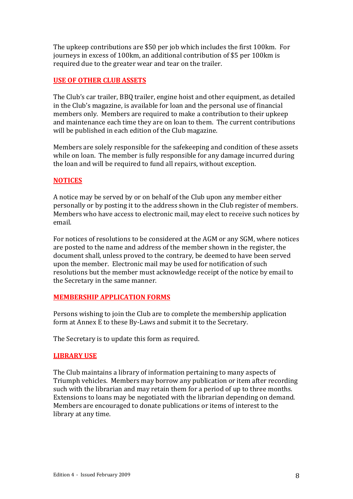The upkeep contributions are \$50 per job which includes the first 100km. For journeys in excess of 100km, an additional contribution of \$5 per 100km is required due to the greater wear and tear on the trailer.

# **USE OF OTHER CLUB ASSETS**

The Club's car trailer, BBQ trailer, engine hoist and other equipment, as detailed in the Club's magazine, is available for loan and the personal use of financial members only. Members are required to make a contribution to their upkeep and maintenance each time they are on loan to them. The current contributions will be published in each edition of the Club magazine.

Members are solely responsible for the safekeeping and condition of these assets while on loan. The member is fully responsible for any damage incurred during the loan and will be required to fund all repairs, without exception.

## **NOTICES**

A notice may be served by or on behalf of the Club upon any member either personally or by posting it to the address shown in the Club register of members. Members who have access to electronic mail, may elect to receive such notices by email.

For notices of resolutions to be considered at the AGM or any SGM, where notices are posted to the name and address of the member shown in the register, the document shall, unless proved to the contrary, be deemed to have been served upon the member. Electronic mail may be used for notification of such resolutions but the member must acknowledge receipt of the notice by email to the Secretary in the same manner.

## **MEMBERSHIP APPLICATION FORMS**

Persons wishing to join the Club are to complete the membership application form at Annex E to these By-Laws and submit it to the Secretary.

The Secretary is to update this form as required.

## **LIBRARY USE**

The Club maintains a library of information pertaining to many aspects of Triumph vehicles. Members may borrow any publication or item after recording such with the librarian and may retain them for a period of up to three months. Extensions to loans may be negotiated with the librarian depending on demand. Members are encouraged to donate publications or items of interest to the library at any time.